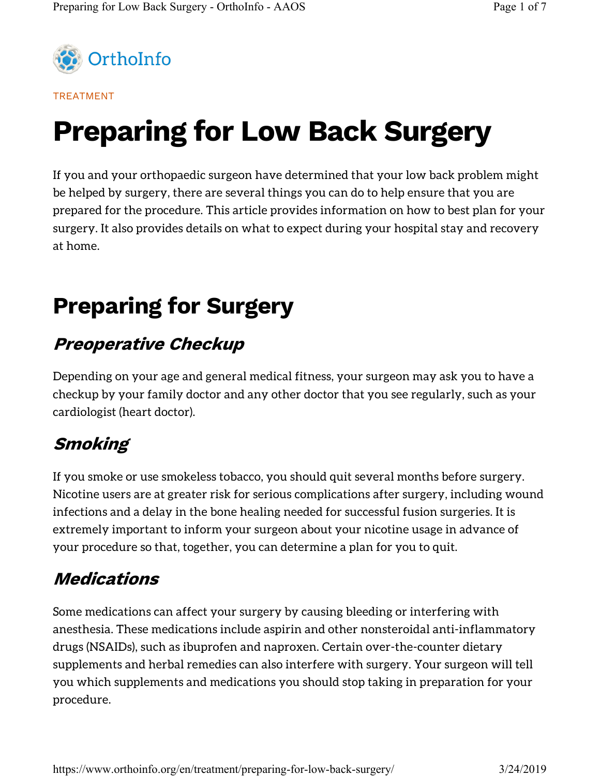

#### TREATMENT

# Preparing for Low Back Surgery

If you and your orthopaedic surgeon have determined that your low back problem might be helped by surgery, there are several things you can do to help ensure that you are prepared for the procedure. This article provides information on how to best plan for your surgery. It also provides details on what to expect during your hospital stay and recovery at home.

## Preparing for Surgery

#### Preoperative Checkup

Depending on your age and general medical fitness, your surgeon may ask you to have a checkup by your family doctor and any other doctor that you see regularly, such as your cardiologist (heart doctor).

#### **Smoking**

If you smoke or use smokeless tobacco, you should quit several months before surgery. Nicotine users are at greater risk for serious complications after surgery, including wound infections and a delay in the bone healing needed for successful fusion surgeries. It is extremely important to inform your surgeon about your nicotine usage in advance of your procedure so that, together, you can determine a plan for you to quit.

#### Medications

Some medications can affect your surgery by causing bleeding or interfering with anesthesia. These medications include aspirin and other nonsteroidal anti-inflammatory drugs (NSAIDs), such as ibuprofen and naproxen. Certain over-the-counter dietary supplements and herbal remedies can also interfere with surgery. Your surgeon will tell you which supplements and medications you should stop taking in preparation for your procedure.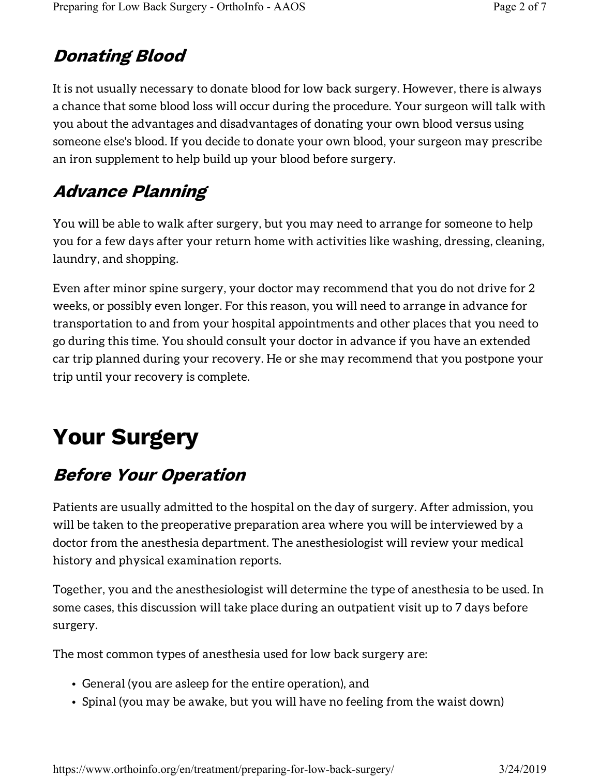#### Donating Blood

It is not usually necessary to donate blood for low back surgery. However, there is always a chance that some blood loss will occur during the procedure. Your surgeon will talk with you about the advantages and disadvantages of donating your own blood versus using someone else's blood. If you decide to donate your own blood, your surgeon may prescribe an iron supplement to help build up your blood before surgery.

### Advance Planning

You will be able to walk after surgery, but you may need to arrange for someone to help you for a few days after your return home with activities like washing, dressing, cleaning, laundry, and shopping.

Even after minor spine surgery, your doctor may recommend that you do not drive for 2 weeks, or possibly even longer. For this reason, you will need to arrange in advance for transportation to and from your hospital appointments and other places that you need to go during this time. You should consult your doctor in advance if you have an extended car trip planned during your recovery. He or she may recommend that you postpone your trip until your recovery is complete.

## Your Surgery

### Before Your Operation

Patients are usually admitted to the hospital on the day of surgery. After admission, you will be taken to the preoperative preparation area where you will be interviewed by a doctor from the anesthesia department. The anesthesiologist will review your medical history and physical examination reports.

Together, you and the anesthesiologist will determine the type of anesthesia to be used. In some cases, this discussion will take place during an outpatient visit up to 7 days before surgery.

The most common types of anesthesia used for low back surgery are:

- General (you are asleep for the entire operation), and
- Spinal (you may be awake, but you will have no feeling from the waist down)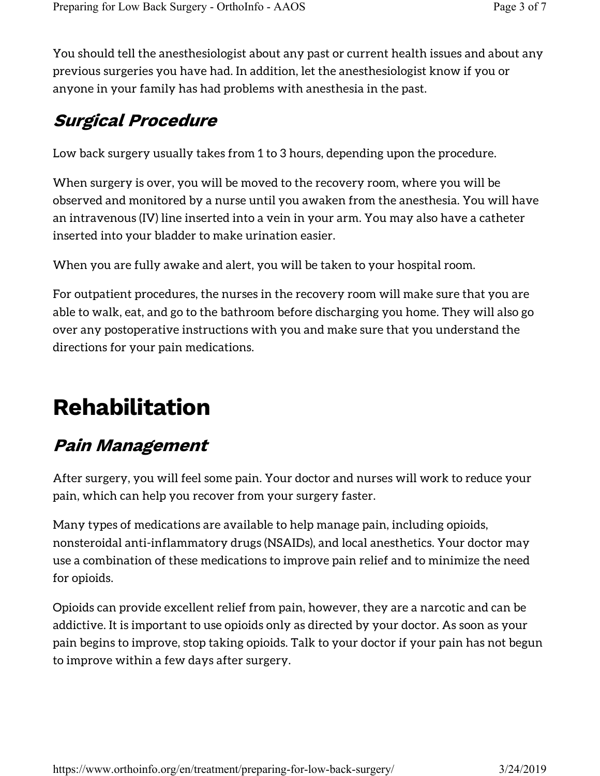You should tell the anesthesiologist about any past or current health issues and about any previous surgeries you have had. In addition, let the anesthesiologist know if you or anyone in your family has had problems with anesthesia in the past.

#### Surgical Procedure

Low back surgery usually takes from 1 to 3 hours, depending upon the procedure.

When surgery is over, you will be moved to the recovery room, where you will be observed and monitored by a nurse until you awaken from the anesthesia. You will have an intravenous (IV) line inserted into a vein in your arm. You may also have a catheter inserted into your bladder to make urination easier.

When you are fully awake and alert, you will be taken to your hospital room.

For outpatient procedures, the nurses in the recovery room will make sure that you are able to walk, eat, and go to the bathroom before discharging you home. They will also go over any postoperative instructions with you and make sure that you understand the directions for your pain medications.

## Rehabilitation

#### Pain Management

After surgery, you will feel some pain. Your doctor and nurses will work to reduce your pain, which can help you recover from your surgery faster.

Many types of medications are available to help manage pain, including opioids, nonsteroidal anti-inflammatory drugs (NSAIDs), and local anesthetics. Your doctor may use a combination of these medications to improve pain relief and to minimize the need for opioids.

Opioids can provide excellent relief from pain, however, they are a narcotic and can be addictive. It is important to use opioids only as directed by your doctor. As soon as your pain begins to improve, stop taking opioids. Talk to your doctor if your pain has not begun to improve within a few days after surgery.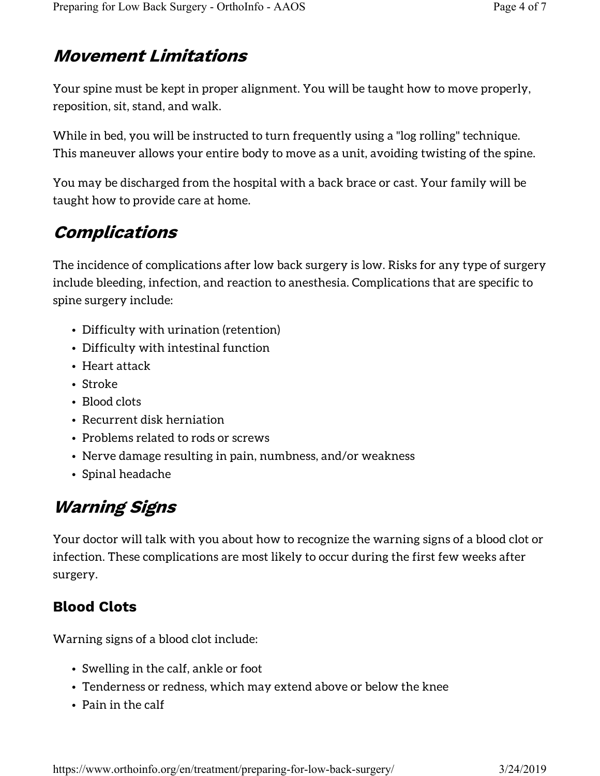### Movement Limitations

Your spine must be kept in proper alignment. You will be taught how to move properly, reposition, sit, stand, and walk.

While in bed, you will be instructed to turn frequently using a "log rolling" technique. This maneuver allows your entire body to move as a unit, avoiding twisting of the spine.

You may be discharged from the hospital with a back brace or cast. Your family will be taught how to provide care at home.

### Complications

The incidence of complications after low back surgery is low. Risks for any type of surgery include bleeding, infection, and reaction to anesthesia. Complications that are specific to spine surgery include:

- Difficulty with urination (retention)
- Difficulty with intestinal function
- Heart attack
- Stroke
- Blood clots
- Recurrent disk herniation
- Problems related to rods or screws
- Nerve damage resulting in pain, numbness, and/or weakness
- Spinal headache

### Warning Signs

Your doctor will talk with you about how to recognize the warning signs of a blood clot or infection. These complications are most likely to occur during the first few weeks after surgery.

#### Blood Clots

Warning signs of a blood clot include:

- Swelling in the calf, ankle or foot
- Tenderness or redness, which may extend above or below the knee
- Pain in the calf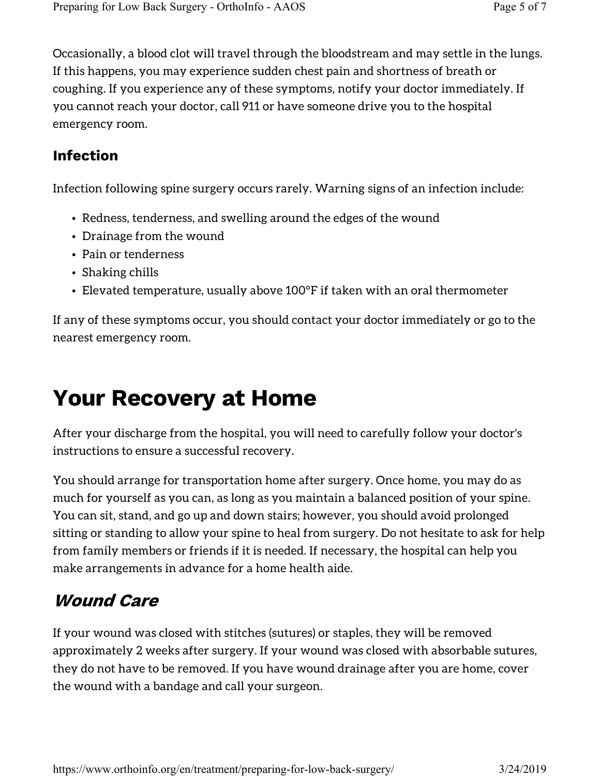Occasionally, a blood clot will travel through the bloodstream and may settle in the lungs. If this happens, you may experience sudden chest pain and shortness of breath or coughing. If you experience any of these symptoms, notify your doctor immediately. If you cannot reach your doctor, call 911 or have someone drive you to the hospital emergency room.

#### Infection

Infection following spine surgery occurs rarely. Warning signs of an infection include:

- Redness, tenderness, and swelling around the edges of the wound
- Drainage from the wound
- Pain or tenderness
- Shaking chills
- Elevated temperature, usually above 100°F if taken with an oral thermometer

If any of these symptoms occur, you should contact your doctor immediately or go to the nearest emergency room.

## Your Recovery at Home

After your discharge from the hospital, you will need to carefully follow your doctor's instructions to ensure a successful recovery.

You should arrange for transportation home after surgery. Once home, you may do as much for yourself as you can, as long as you maintain a balanced position of your spine. You can sit, stand, and go up and down stairs; however, you should avoid prolonged sitting or standing to allow your spine to heal from surgery. Do not hesitate to ask for help from family members or friends if it is needed. If necessary, the hospital can help you make arrangements in advance for a home health aide.

#### Wound Care

If your wound was closed with stitches (sutures) or staples, they will be removed approximately 2 weeks after surgery. If your wound was closed with absorbable sutures, they do not have to be removed. If you have wound drainage after you are home, cover the wound with a bandage and call your surgeon.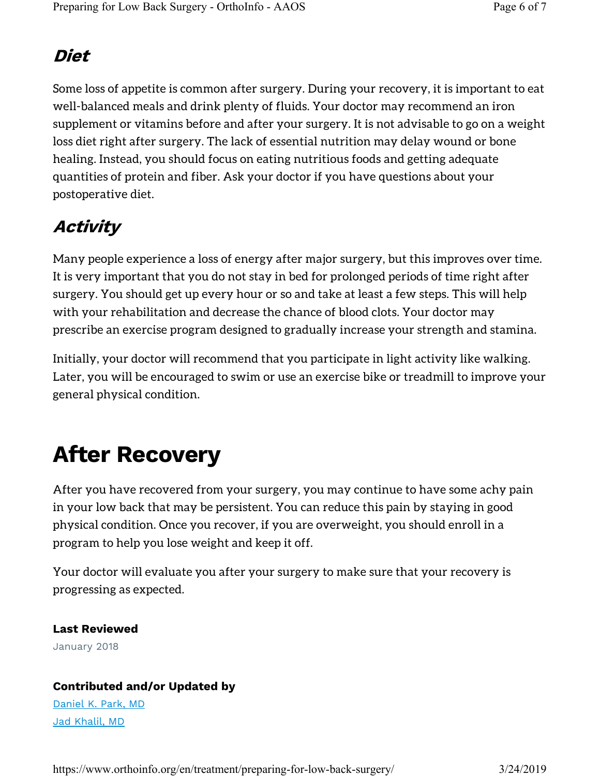#### Diet

Some loss of appetite is common after surgery. During your recovery, it is important to eat well-balanced meals and drink plenty of fluids. Your doctor may recommend an iron supplement or vitamins before and after your surgery. It is not advisable to go on a weight loss diet right after surgery. The lack of essential nutrition may delay wound or bone healing. Instead, you should focus on eating nutritious foods and getting adequate quantities of protein and fiber. Ask your doctor if you have questions about your postoperative diet.

### Activity

Many people experience a loss of energy after major surgery, but this improves over time. It is very important that you do not stay in bed for prolonged periods of time right after surgery. You should get up every hour or so and take at least a few steps. This will help with your rehabilitation and decrease the chance of blood clots. Your doctor may prescribe an exercise program designed to gradually increase your strength and stamina.

Initially, your doctor will recommend that you participate in light activity like walking. Later, you will be encouraged to swim or use an exercise bike or treadmill to improve your general physical condition.

## After Recovery

After you have recovered from your surgery, you may continue to have some achy pain in your low back that may be persistent. You can reduce this pain by staying in good physical condition. Once you recover, if you are overweight, you should enroll in a program to help you lose weight and keep it off.

Your doctor will evaluate you after your surgery to make sure that your recovery is progressing as expected.

#### Last Reviewed

January 2018

#### Contributed and/or Updated by

Daniel K. Park, MD Jad Khalil, MD